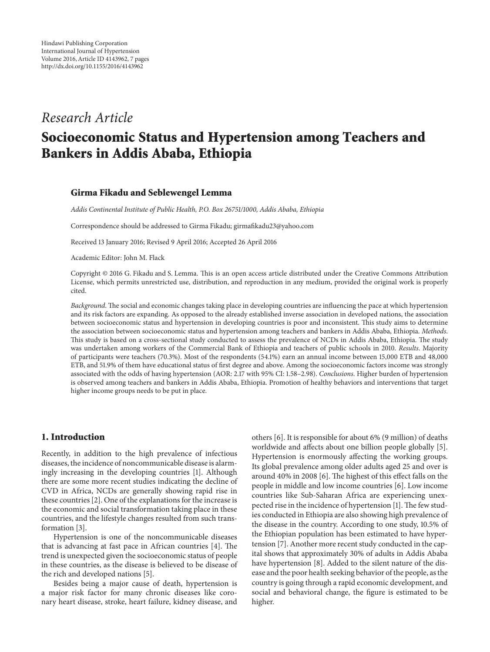## *Research Article*

# **Socioeconomic Status and Hypertension among Teachers and Bankers in Addis Ababa, Ethiopia**

#### **Girma Fikadu and Seblewengel Lemma**

*Addis Continental Institute of Public Health, P.O. Box 26751/1000, Addis Ababa, Ethiopia*

Correspondence should be addressed to Girma Fikadu; girmafikadu23@yahoo.com

Received 13 January 2016; Revised 9 April 2016; Accepted 26 April 2016

Academic Editor: John M. Flack

Copyright © 2016 G. Fikadu and S. Lemma. This is an open access article distributed under the Creative Commons Attribution License, which permits unrestricted use, distribution, and reproduction in any medium, provided the original work is properly cited.

*Background*. The social and economic changes taking place in developing countries are influencing the pace at which hypertension and its risk factors are expanding. As opposed to the already established inverse association in developed nations, the association between socioeconomic status and hypertension in developing countries is poor and inconsistent. This study aims to determine the association between socioeconomic status and hypertension among teachers and bankers in Addis Ababa, Ethiopia. *Methods*. This study is based on a cross-sectional study conducted to assess the prevalence of NCDs in Addis Ababa, Ethiopia. The study was undertaken among workers of the Commercial Bank of Ethiopia and teachers of public schools in 2010. *Results*. Majority of participants were teachers (70.3%). Most of the respondents (54.1%) earn an annual income between 15,000 ETB and 48,000 ETB, and 51.9% of them have educational status of first degree and above. Among the socioeconomic factors income was strongly associated with the odds of having hypertension (AOR: 2.17 with 95% CI: 1.58–2.98). *Conclusions*. Higher burden of hypertension is observed among teachers and bankers in Addis Ababa, Ethiopia. Promotion of healthy behaviors and interventions that target higher income groups needs to be put in place.

#### **1. Introduction**

Recently, in addition to the high prevalence of infectious diseases, the incidence of noncommunicable disease is alarmingly increasing in the developing countries [1]. Although there are some more recent studies indicating the decline of CVD in Africa, NCDs are generally showing rapid rise in these countries [2]. One of the explanations for the increase is the economic and social transformation taking place in these countries, and the lifestyle changes resulted from such transformation [3].

Hypertension is one of the noncommunicable diseases that is advancing at fast pace in African countries [4]. The trend is unexpected given the socioeconomic status of people in these countries, as the disease is believed to be disease of the rich and developed nations [5].

Besides being a major cause of death, hypertension is a major risk factor for many chronic diseases like coronary heart disease, stroke, heart failure, kidney disease, and

others [6]. It is responsible for about 6% (9 million) of deaths worldwide and affects about one billion people globally [5]. Hypertension is enormously affecting the working groups. Its global prevalence among older adults aged 25 and over is around 40% in 2008 [6]. The highest of this effect falls on the people in middle and low income countries [6]. Low income countries like Sub-Saharan Africa are experiencing unexpected rise in the incidence of hypertension [1]. The few studies conducted in Ethiopia are also showing high prevalence of the disease in the country. According to one study, 10.5% of the Ethiopian population has been estimated to have hypertension [7]. Another more recent study conducted in the capital shows that approximately 30% of adults in Addis Ababa have hypertension [8]. Added to the silent nature of the disease and the poor health seeking behavior of the people, as the country is going through a rapid economic development, and social and behavioral change, the figure is estimated to be higher.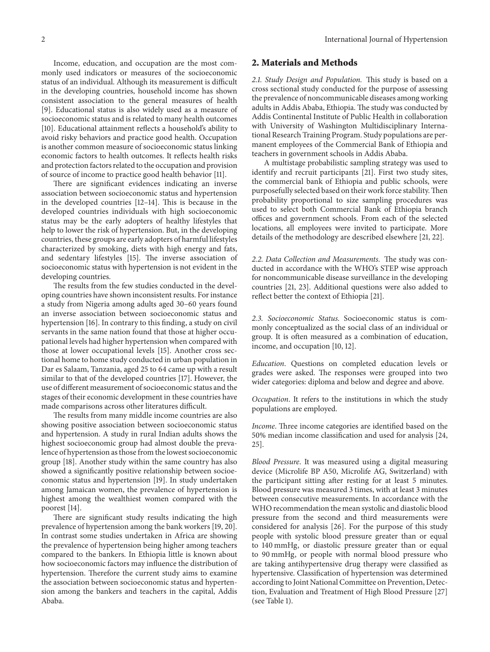status of an individual. Although its measurement is difficult in the developing countries, household income has shown consistent association to the general measures of health [9]. Educational status is also widely used as a measure of socioeconomic status and is related to many health outcomes [10]. Educational attainment reflects a household's ability to avoid risky behaviors and practice good health. Occupation is another common measure of socioeconomic status linking economic factors to health outcomes. It reflects health risks and protection factors related to the occupation and provision of source of income to practice good health behavior [11].

There are significant evidences indicating an inverse association between socioeconomic status and hypertension in the developed countries [12–14]. This is because in the developed countries individuals with high socioeconomic status may be the early adopters of healthy lifestyles that help to lower the risk of hypertension. But, in the developing countries, these groups are early adopters of harmful lifestyles characterized by smoking, diets with high energy and fats, and sedentary lifestyles [15]. The inverse association of socioeconomic status with hypertension is not evident in the developing countries.

The results from the few studies conducted in the developing countries have shown inconsistent results. For instance a study from Nigeria among adults aged 30–60 years found an inverse association between socioeconomic status and hypertension [16]. In contrary to this finding, a study on civil servants in the same nation found that those at higher occupational levels had higher hypertension when compared with those at lower occupational levels [15]. Another cross sectional home to home study conducted in urban population in Dar es Salaam, Tanzania, aged 25 to 64 came up with a result similar to that of the developed countries [17]. However, the use of different measurement of socioeconomic status and the stages of their economic development in these countries have made comparisons across other literatures difficult.

The results from many middle income countries are also showing positive association between socioeconomic status and hypertension. A study in rural Indian adults shows the highest socioeconomic group had almost double the prevalence of hypertension as those from the lowest socioeconomic group [18]. Another study within the same country has also showed a significantly positive relationship between socioeconomic status and hypertension [19]. In study undertaken among Jamaican women, the prevalence of hypertension is highest among the wealthiest women compared with the poorest [14].

There are significant study results indicating the high prevalence of hypertension among the bank workers [19, 20]. In contrast some studies undertaken in Africa are showing the prevalence of hypertension being higher among teachers compared to the bankers. In Ethiopia little is known about how socioeconomic factors may influence the distribution of hypertension. Therefore the current study aims to examine the association between socioeconomic status and hypertension among the bankers and teachers in the capital, Addis Ababa.

#### **2. Materials and Methods**

*2.1. Study Design and Population.* This study is based on a cross sectional study conducted for the purpose of assessing the prevalence of noncommunicable diseases among working adults in Addis Ababa, Ethiopia. The study was conducted by Addis Continental Institute of Public Health in collaboration with University of Washington Multidisciplinary International Research Training Program. Study populations are permanent employees of the Commercial Bank of Ethiopia and teachers in government schools in Addis Ababa.

A multistage probabilistic sampling strategy was used to identify and recruit participants [21]. First two study sites, the commercial bank of Ethiopia and public schools, were purposefully selected based on their work force stability.Then probability proportional to size sampling procedures was used to select both Commercial Bank of Ethiopia branch offices and government schools. From each of the selected locations, all employees were invited to participate. More details of the methodology are described elsewhere [21, 22].

*2.2. Data Collection and Measurements.* The study was conducted in accordance with the WHO's STEP wise approach for noncommunicable disease surveillance in the developing countries [21, 23]. Additional questions were also added to reflect better the context of Ethiopia [21].

*2.3. Socioeconomic Status.* Socioeconomic status is commonly conceptualized as the social class of an individual or group. It is often measured as a combination of education, income, and occupation [10, 12].

*Education*. Questions on completed education levels or grades were asked. The responses were grouped into two wider categories: diploma and below and degree and above.

*Occupation*. It refers to the institutions in which the study populations are employed.

*Income*. Three income categories are identified based on the 50% median income classification and used for analysis [24, 25].

*Blood Pressure*. It was measured using a digital measuring device (Microlife BP A50, Microlife AG, Switzerland) with the participant sitting after resting for at least 5 minutes. Blood pressure was measured 3 times, with at least 3 minutes between consecutive measurements. In accordance with the WHO recommendation the mean systolic and diastolic blood pressure from the second and third measurements were considered for analysis [26]. For the purpose of this study people with systolic blood pressure greater than or equal to 140 mmHg, or diastolic pressure greater than or equal to 90 mmHg, or people with normal blood pressure who are taking antihypertensive drug therapy were classified as hypertensive. Classification of hypertension was determined according to Joint National Committee on Prevention, Detection, Evaluation and Treatment of High Blood Pressure [27] (see Table 1).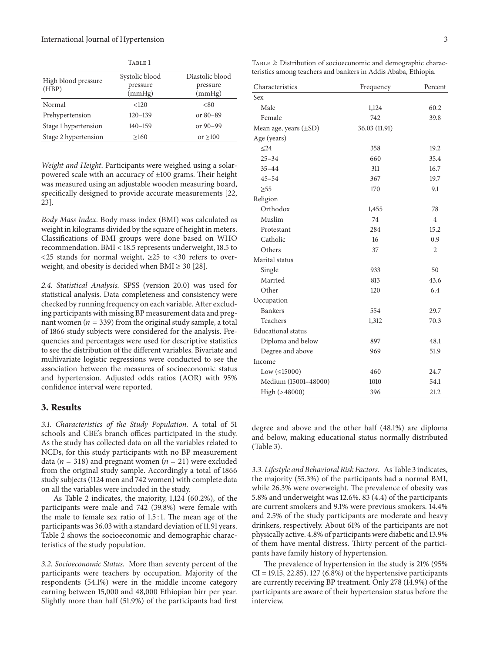|                              | TABLE 1        |                 |
|------------------------------|----------------|-----------------|
| High blood pressure<br>(HBP) | Systolic blood | Diastolic blood |
|                              | pressure       | pressure        |
|                              | (mmHg)         | (mmHg)          |
| Normal                       | < 120          | < 80            |
| Prehypertension              | $120 - 139$    | or 80-89        |
| Stage 1 hypertension         | $140 - 159$    | or 90-99        |
| Stage 2 hypertension         | >160           | or $\geq 100$   |

*Weight and Height*. Participants were weighed using a solarpowered scale with an accuracy of ±100 grams. Their height was measured using an adjustable wooden measuring board, specifically designed to provide accurate measurements [22, 23].

*Body Mass Index*. Body mass index (BMI) was calculated as weight in kilograms divided by the square of height in meters. Classifications of BMI groups were done based on WHO recommendation. BMI < 18.5 represents underweight, 18.5 to <25 stands for normal weight, ≥25 to <30 refers to overweight, and obesity is decided when  $BMI \geq 30$  [28].

*2.4. Statistical Analysis.* SPSS (version 20.0) was used for statistical analysis. Data completeness and consistency were checked by running frequency on each variable. After excluding participants with missing BP measurement data and pregnant women ( $n = 339$ ) from the original study sample, a total of 1866 study subjects were considered for the analysis. Frequencies and percentages were used for descriptive statistics to see the distribution of the different variables. Bivariate and multivariate logistic regressions were conducted to see the association between the measures of socioeconomic status and hypertension. Adjusted odds ratios (AOR) with 95% confidence interval were reported.

#### **3. Results**

*3.1. Characteristics of the Study Population.* A total of 51 schools and CBE's branch offices participated in the study. As the study has collected data on all the variables related to NCDs, for this study participants with no BP measurement data ( $n = 318$ ) and pregnant women ( $n = 21$ ) were excluded from the original study sample. Accordingly a total of 1866 study subjects (1124 men and 742 women) with complete data on all the variables were included in the study.

As Table 2 indicates, the majority, 1,124 (60.2%), of the participants were male and 742 (39.8%) were female with the male to female sex ratio of  $1.5:1$ . The mean age of the participants was 36.03 with a standard deviation of 11.91 years. Table 2 shows the socioeconomic and demographic characteristics of the study population.

*3.2. Socioeconomic Status.* More than seventy percent of the participants were teachers by occupation. Majority of the respondents (54.1%) were in the middle income category earning between 15,000 and 48,000 Ethiopian birr per year. Slightly more than half (51.9%) of the participants had first

Table 2: Distribution of socioeconomic and demographic characteristics among teachers and bankers in Addis Ababa, Ethiopia.

| Characteristics           | Frequency     | Percent        |
|---------------------------|---------------|----------------|
| Sex                       |               |                |
| Male                      | 1,124         | 60.2           |
| Female                    | 742           | 39.8           |
| Mean age, years (±SD)     | 36.03 (11.91) |                |
| Age (years)               |               |                |
| $\leq$ 24                 | 358           | 19.2           |
| $25 - 34$                 | 660           | 35.4           |
| $35 - 44$                 | 311           | 16.7           |
| $45 - 54$                 | 367           | 19.7           |
| $\geq 55$                 | 170           | 9.1            |
| Religion                  |               |                |
| Orthodox                  | 1,455         | 78             |
| Muslim                    | 74            | $\overline{4}$ |
| Protestant                | 284           | 15.2           |
| Catholic                  | 16            | 0.9            |
| Others                    | 37            | $\overline{2}$ |
| Marital status            |               |                |
| Single                    | 933           | 50             |
| Married                   | 813           | 43.6           |
| Other                     | 120           | 6.4            |
| Occupation                |               |                |
| <b>Bankers</b>            | 554           | 29.7           |
| Teachers                  | 1,312         | 70.3           |
| <b>Educational</b> status |               |                |
| Diploma and below         | 897           | 48.1           |
| Degree and above          | 969           | 51.9           |
| Income                    |               |                |
| Low $(≤15000)$            | 460           | 24.7           |
| Medium (15001-48000)      | 1010          | 54.1           |
| High (>48000)             | 396           | 21.2           |

degree and above and the other half (48.1%) are diploma and below, making educational status normally distributed (Table 3).

*3.3. Lifestyle and Behavioral Risk Factors.* As Table 3 indicates, the majority (55.3%) of the participants had a normal BMI, while 26.3% were overweight. The prevalence of obesity was 5.8% and underweight was 12.6%. 83 (4.4) of the participants are current smokers and 9.1% were previous smokers. 14.4% and 2.5% of the study participants are moderate and heavy drinkers, respectively. About 61% of the participants are not physically active. 4.8% of participants were diabetic and 13.9% of them have mental distress. Thirty percent of the participants have family history of hypertension.

The prevalence of hypertension in the study is 21% (95%  $CI = 19.15, 22.85$ . 127 (6.8%) of the hypertensive participants are currently receiving BP treatment. Only 278 (14.9%) of the participants are aware of their hypertension status before the interview.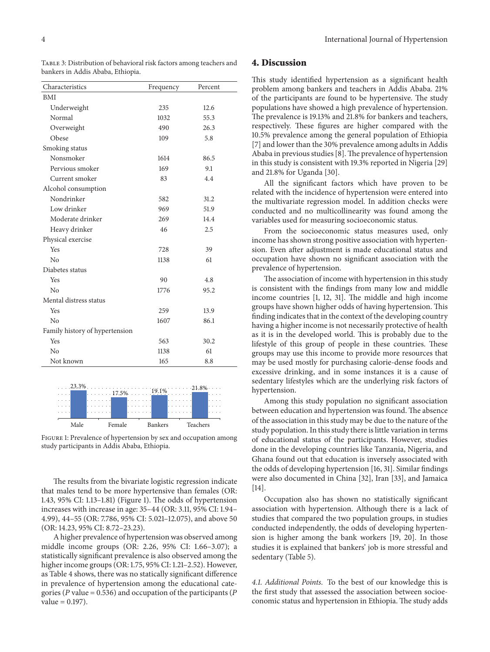| Characteristics                | Frequency | Percent |
|--------------------------------|-----------|---------|
| <b>BMI</b>                     |           |         |
| Underweight                    | 235       | 12.6    |
| Normal                         | 1032      | 55.3    |
| Overweight                     | 490       | 26.3    |
| Obese                          | 109       | 5.8     |
| Smoking status                 |           |         |
| Nonsmoker                      | 1614      | 86.5    |
| Pervious smoker                | 169       | 9.1     |
| Current smoker                 | 83        | 4.4     |
| Alcohol consumption            |           |         |
| Nondrinker                     | 582       | 31.2    |
| Low drinker                    | 969       | 51.9    |
| Moderate drinker               | 269       | 14.4    |
| Heavy drinker                  | 46        | 2.5     |
| Physical exercise              |           |         |
| Yes                            | 728       | 39      |
| No                             | 1138      | 61      |
| Diabetes status                |           |         |
| Yes                            | 90        | 4.8     |
| No                             | 1776      | 95.2    |
| Mental distress status         |           |         |
| Yes                            | 259       | 13.9    |
| No                             | 1607      | 86.1    |
| Family history of hypertension |           |         |
| Yes                            | 563       | 30.2    |
| No                             | 1138      | 61      |
| Not known                      | 165       | 8.8     |

Table 3: Distribution of behavioral risk factors among teachers and bankers in Addis Ababa, Ethiopia.



FIGURE 1: Prevalence of hypertension by sex and occupation among study participants in Addis Ababa, Ethiopia.

The results from the bivariate logistic regression indicate that males tend to be more hypertensive than females (OR: 1.43, 95% CI: 1.13–1.81) (Figure 1). The odds of hypertension increases with increase in age: 35–44 (OR: 3.11, 95% CI: 1.94– 4.99), 44–55 (OR: 7.786, 95% CI: 5.021–12.075), and above 50 (OR: 14.23, 95% CI: 8.72–23.23).

A higher prevalence of hypertension was observed among middle income groups (OR: 2.26, 95% CI: 1.66–3.07); a statistically significant prevalence is also observed among the higher income groups (OR: 1.75, 95% CI: 1.21–2.52). However, as Table 4 shows, there was no statically significant difference in prevalence of hypertension among the educational categories ( $P$  value = 0.536) and occupation of the participants ( $P$  $value = 0.197$ ).

#### **4. Discussion**

This study identified hypertension as a significant health problem among bankers and teachers in Addis Ababa. 21% of the participants are found to be hypertensive. The study populations have showed a high prevalence of hypertension. The prevalence is 19.13% and 21.8% for bankers and teachers, respectively. These figures are higher compared with the 10.5% prevalence among the general population of Ethiopia [7] and lower than the 30% prevalence among adults in Addis Ababa in previous studies [8]. The prevalence of hypertension in this study is consistent with 19.3% reported in Nigeria [29] and 21.8% for Uganda [30].

All the significant factors which have proven to be related with the incidence of hypertension were entered into the multivariate regression model. In addition checks were conducted and no multicollinearity was found among the variables used for measuring socioeconomic status.

From the socioeconomic status measures used, only income has shown strong positive association with hypertension. Even after adjustment is made educational status and occupation have shown no significant association with the prevalence of hypertension.

The association of income with hypertension in this study is consistent with the findings from many low and middle income countries [1, 12, 31]. The middle and high income groups have shown higher odds of having hypertension. This finding indicates that in the context of the developing country having a higher income is not necessarily protective of health as it is in the developed world. This is probably due to the lifestyle of this group of people in these countries. These groups may use this income to provide more resources that may be used mostly for purchasing calorie-dense foods and excessive drinking, and in some instances it is a cause of sedentary lifestyles which are the underlying risk factors of hypertension.

Among this study population no significant association between education and hypertension was found. The absence of the association in this study may be due to the nature of the study population. In this study there is little variation in terms of educational status of the participants. However, studies done in the developing countries like Tanzania, Nigeria, and Ghana found out that education is inversely associated with the odds of developing hypertension [16, 31]. Similar findings were also documented in China [32], Iran [33], and Jamaica [14].

Occupation also has shown no statistically significant association with hypertension. Although there is a lack of studies that compared the two population groups, in studies conducted independently, the odds of developing hypertension is higher among the bank workers [19, 20]. In those studies it is explained that bankers' job is more stressful and sedentary (Table 5).

*4.1. Additional Points.* To the best of our knowledge this is the first study that assessed the association between socioeconomic status and hypertension in Ethiopia. The study adds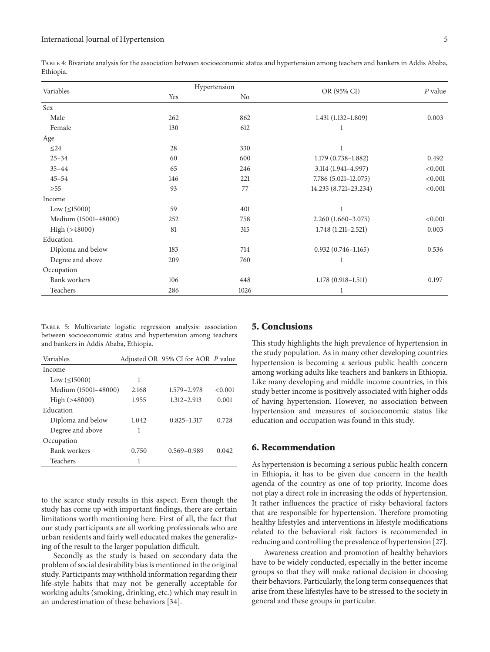Table 4: Bivariate analysis for the association between socioeconomic status and hypertension among teachers and bankers in Addis Ababa, Ethiopia.

| Variables<br>Yes     |     | Hypertension | OR (95% CI)            | $P$ value |
|----------------------|-----|--------------|------------------------|-----------|
|                      | No  |              |                        |           |
| Sex                  |     |              |                        |           |
| Male                 | 262 | 862          | $1.431(1.132 - 1.809)$ | 0.003     |
| Female               | 130 | 612          |                        |           |
| Age                  |     |              |                        |           |
| $\leq$ 24            | 28  | 330          | $\mathbf{1}$           |           |
| $25 - 34$            | 60  | 600          | $1.179(0.738 - 1.882)$ | 0.492     |
| $35 - 44$            | 65  | 246          | 3.114 (1.941-4.997)    | < 0.001   |
| $45 - 54$            | 146 | 221          | 7.786 (5.021-12.075)   | < 0.001   |
| $\geq 55$            | 93  | 77           | 14.235 (8.721-23.234)  | < 0.001   |
| Income               |     |              |                        |           |
| Low $(≤15000)$       | 59  | 401          | $\mathbf{1}$           |           |
| Medium (15001-48000) | 252 | 758          | $2.260(1.660-3.075)$   | < 0.001   |
| High (>48000)        | 81  | 315          | $1.748(1.211 - 2.521)$ | 0.003     |
| Education            |     |              |                        |           |
| Diploma and below    | 183 | 714          | $0.932(0.746 - 1.165)$ | 0.536     |
| Degree and above     | 209 | 760          |                        |           |
| Occupation           |     |              |                        |           |
| <b>Bank</b> workers  | 106 | 448          | $1.178(0.918 - 1.511)$ | 0.197     |
| Teachers             | 286 | 1026         |                        |           |

Table 5: Multivariate logistic regression analysis: association between socioeconomic status and hypertension among teachers and bankers in Addis Ababa, Ethiopia.

| Variables            |       | Adjusted OR 95% CI for AOR P value |         |
|----------------------|-------|------------------------------------|---------|
| Income               |       |                                    |         |
| Low (≤15000)         | 1     |                                    |         |
| Medium (15001-48000) | 2.168 | 1.579-2.978                        | < 0.001 |
| High ( > 48000)      | 1.955 | $1.312 - 2.913$                    | 0.001   |
| Education            |       |                                    |         |
| Diploma and below    | 1.042 | $0.825 - 1.317$                    | 0.728   |
| Degree and above     | 1     |                                    |         |
| Occupation           |       |                                    |         |
| Bank workers         | 0.750 | $0.569 - 0.989$                    | 0.042   |
| Teachers             | 1     |                                    |         |
|                      |       |                                    |         |

to the scarce study results in this aspect. Even though the study has come up with important findings, there are certain limitations worth mentioning here. First of all, the fact that our study participants are all working professionals who are urban residents and fairly well educated makes the generalizing of the result to the larger population difficult.

Secondly as the study is based on secondary data the problem of social desirability bias is mentioned in the original study. Participants may withhold information regarding their life-style habits that may not be generally acceptable for working adults (smoking, drinking, etc.) which may result in an underestimation of these behaviors [34].

#### **5. Conclusions**

This study highlights the high prevalence of hypertension in the study population. As in many other developing countries hypertension is becoming a serious public health concern among working adults like teachers and bankers in Ethiopia. Like many developing and middle income countries, in this study better income is positively associated with higher odds of having hypertension. However, no association between hypertension and measures of socioeconomic status like education and occupation was found in this study.

#### **6. Recommendation**

As hypertension is becoming a serious public health concern in Ethiopia, it has to be given due concern in the health agenda of the country as one of top priority. Income does not play a direct role in increasing the odds of hypertension. It rather influences the practice of risky behavioral factors that are responsible for hypertension. Therefore promoting healthy lifestyles and interventions in lifestyle modifications related to the behavioral risk factors is recommended in reducing and controlling the prevalence of hypertension [27].

Awareness creation and promotion of healthy behaviors have to be widely conducted, especially in the better income groups so that they will make rational decision in choosing their behaviors. Particularly, the long term consequences that arise from these lifestyles have to be stressed to the society in general and these groups in particular.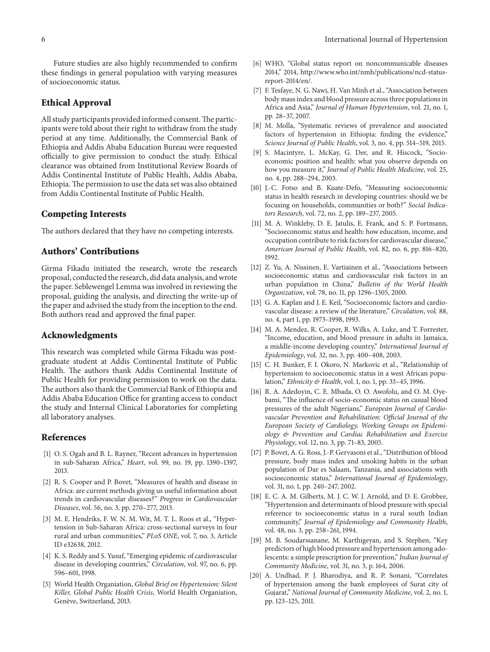Future studies are also highly recommended to confirm these findings in general population with varying measures of socioeconomic status.

#### **Ethical Approval**

All study participants provided informed consent.The participants were told about their right to withdraw from the study period at any time. Additionally, the Commercial Bank of Ethiopia and Addis Ababa Education Bureau were requested officially to give permission to conduct the study. Ethical clearance was obtained from Institutional Review Boards of Addis Continental Institute of Public Health, Addis Ababa, Ethiopia.The permission to use the data set was also obtained from Addis Continental Institute of Public Health.

#### **Competing Interests**

The authors declared that they have no competing interests.

### **Authors' Contributions**

Girma Fikadu initiated the research, wrote the research proposal, conducted the research, did data analysis, and wrote the paper. Seblewengel Lemma was involved in reviewing the proposal, guiding the analysis, and directing the write-up of the paper and advised the study from the inception to the end. Both authors read and approved the final paper.

#### **Acknowledgments**

This research was completed while Girma Fikadu was postgraduate student at Addis Continental Institute of Public Health. The authors thank Addis Continental Institute of Public Health for providing permission to work on the data. The authors also thank the Commercial Bank of Ethiopia and Addis Ababa Education Office for granting access to conduct the study and Internal Clinical Laboratories for completing all laboratory analyses.

#### **References**

- [1] O. S. Ogah and B. L. Rayner, "Recent advances in hypertension in sub-Saharan Africa," *Heart*, vol. 99, no. 19, pp. 1390–1397, 2013.
- [2] R. S. Cooper and P. Bovet, "Measures of health and disease in Africa: are current methods giving us useful information about trends in cardiovascular diseases?" *Progress in Cardiovascular Diseases*, vol. 56, no. 3, pp. 270–277, 2013.
- [3] M. E. Hendriks, F. W. N. M. Wit, M. T. L. Roos et al., "Hypertension in Sub-Saharan Africa: cross-sectional surveys in four rural and urban communities," *PLoS ONE*, vol. 7, no. 3, Article ID e32638, 2012.
- [4] K. S. Reddy and S. Yusuf, "Emerging epidemic of cardiovascular disease in developing countries," *Circulation*, vol. 97, no. 6, pp. 596–601, 1998.
- [5] World Health Organiation, *Global Brief on Hypertension: Silent Killer, Global Public Health Crisis*, World Health Organiation, Genève, Switzerland, 2013.
- [6] WHO, "Global status report on noncommunicable diseases 2014," 2014, http://www.who.int/nmh/publications/ncd-statusreport-2014/en/.
- [7] F. Tesfaye, N. G. Nawi, H. Van Minh et al., "Association between body mass index and blood pressure across three populations in Africa and Asia," *Journal of Human Hypertension*, vol. 21, no. 1, pp. 28–37, 2007.
- [8] M. Molla, "Systematic reviews of prevalence and associated factors of hypertension in Ethiopia: finding the evidence," *Science Journal of Public Health*, vol. 3, no. 4, pp. 514–519, 2015.
- [9] S. Macintyre, L. McKay, G. Der, and R. Hiscock, "Socioeconomic position and health: what you observe depends on how you measure it," *Journal of Public Health Medicine*, vol. 25, no. 4, pp. 288–294, 2003.
- [10] J.-C. Fotso and B. Kuate-Defo, "Measuring socioeconomic status in health research in developing countries: should we be focusing on households, communities or both?" *Social Indicators Research*, vol. 72, no. 2, pp. 189–237, 2005.
- [11] M. A. Winkleby, D. E. Jatulis, E. Frank, and S. P. Fortmann, "Socioeconomic status and health: how education, income, and occupation contribute to risk factors for cardiovascular disease," *American Journal of Public Health*, vol. 82, no. 6, pp. 816–820, 1992.
- [12] Z. Yu, A. Nissinen, E. Vartiainen et al., "Associations between socioeconomic status and cardiovascular risk factors in an urban population in China," *Bulletin of the World Health Organization*, vol. 78, no. 11, pp. 1296–1305, 2000.
- [13] G. A. Kaplan and J. E. Keil, "Socioeconomic factors and cardiovascular disease: a review of the literature," *Circulation*, vol. 88, no. 4, part 1, pp. 1973–1998, 1993.
- [14] M. A. Mendez, R. Cooper, R. Wilks, A. Luke, and T. Forrester, "Income, education, and blood pressure in adults in Jamaica, a middle-income developing country," *International Journal of Epidemiology*, vol. 32, no. 3, pp. 400–408, 2003.
- [15] C. H. Bunker, F. I. Okoro, N. Markovic et al., "Relationship of hypertension to socioeconomic status in a west African population," *Ethnicity & Health*, vol. 1, no. 1, pp. 33–45, 1996.
- [16] R. A. Adedoyin, C. E. Mbada, O. O. Awofolu, and O. M. Oyebami, "The influence of socio-economic status on casual blood pressures of the adult Nigerians," *European Journal of Cardiovascular Prevention and Rehabilitation: Official Journal of the European Society of Cardiology, Working Groups on Epidemiology & Prevention and Cardiac Rehabilitation and Exercise Physiology*, vol. 12, no. 3, pp. 71–83, 2005.
- [17] P. Bovet, A. G. Ross, J.-P. Gervasoni et al., "Distribution of blood pressure, body mass index and smoking habits in the urban population of Dar es Salaam, Tanzania, and associations with socioeconomic status," *International Journal of Epidemiology*, vol. 31, no. 1, pp. 240–247, 2002.
- [18] E. C. A. M. Gilberts, M. J. C. W. J. Arnold, and D. E. Grobbee, "Hypertension and determinants of blood pressure with special reference to socioeconomic status in a rural south Indian community," *Journal of Epidemiology and Community Health*, vol. 48, no. 3, pp. 258–261, 1994.
- [19] M. B. Soudarssanane, M. Karthigeyan, and S. Stephen, "Key predictors of high blood pressure and hypertension among adolescents: a simple prescription for prevention," *Indian Journal of Community Medicine*, vol. 31, no. 3, p. 164, 2006.
- [20] A. Undhad, P. J. Bharodiya, and R. P. Sonani, "Correlates of hypertension among the bank employees of Surat city of Gujarat," *National Journal of Community Medicine*, vol. 2, no. 1, pp. 123–125, 2011.